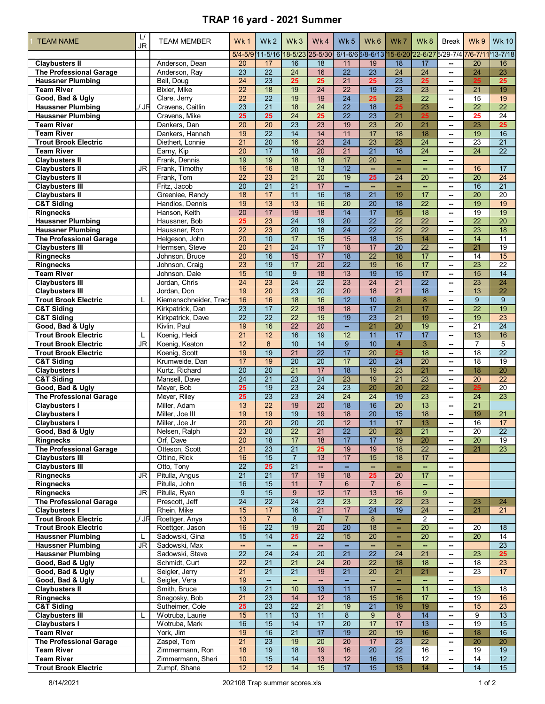## **TRAP 16 yard - 2021 Summer**

| <b>TEAM NAME</b>                                           | $\cup$    | <b>TEAM MEMBER</b>                   | Wk1                   | Wk <sub>2</sub>                   | Wk3                                | Wk4                                | Wk <sub>5</sub>                    | Wk 6                               | Wk7                   | Wk8                                                        | Break                                                | Wk9                   | <b>Wk 10</b>          |
|------------------------------------------------------------|-----------|--------------------------------------|-----------------------|-----------------------------------|------------------------------------|------------------------------------|------------------------------------|------------------------------------|-----------------------|------------------------------------------------------------|------------------------------------------------------|-----------------------|-----------------------|
|                                                            | JR        |                                      |                       |                                   |                                    | 5/4-5/9 11-5/16 18-5/23 25-5/30    |                                    |                                    |                       | 6/1-6/6 6/8-6/13 15-6/20 22-6/27 6/29-7/4 7/6-7/11 13-7/18 |                                                      |                       |                       |
| <b>Clavbusters II</b>                                      |           | Anderson. Dean                       | 20                    | 17                                | 16                                 | 18                                 | 11                                 | 19                                 | 18                    | 17                                                         | --                                                   | 20                    | 16                    |
| <b>The Professional Garage</b>                             |           | Anderson, Ray                        | 23                    | $\overline{22}$                   | 24                                 | 16                                 | $\overline{22}$                    | 23                                 | 24                    | $\overline{24}$                                            | --                                                   | $\overline{24}$       | 23                    |
| <b>Haussner Plumbing</b>                                   |           | Bell, Doug                           | $\overline{24}$       | $\overline{23}$                   | 25                                 | 25                                 | $\overline{21}$                    | 25                                 | $\overline{23}$       | 25                                                         | --                                                   | 25                    | 25                    |
| <b>Team River</b>                                          |           | <b>Bixler, Mike</b>                  | $\overline{22}$       | 18                                | 19                                 | $\overline{24}$                    | $\overline{22}$                    | 19                                 | $\overline{23}$       | $\overline{23}$                                            | --                                                   | 21                    | 19                    |
| Good, Bad & Ugly                                           |           | Clare, Jerry                         | $\overline{22}$       | $\overline{22}$                   | 19                                 | 19                                 | $\overline{24}$                    | 25                                 | 23                    | $\overline{22}$                                            | $\overline{\phantom{a}}$                             | 15                    | 19                    |
| <b>Haussner Plumbing</b>                                   | / JR      | Cravens, Caitlin                     | $\overline{23}$       | $\overline{21}$                   | 18<br>$\overline{24}$              | $\overline{24}$                    | $\overline{22}$<br>$\overline{22}$ | $\overline{18}$<br>$\overline{23}$ | 25                    | 23                                                         | $\overline{\phantom{a}}$                             | $\overline{22}$       | $\overline{22}$<br>24 |
| <b>Haussner Plumbing</b><br><b>Team River</b>              |           | Cravens, Mike<br>Dankers, Dan        | 25<br>$\overline{20}$ | 25<br>$\overline{20}$             | $\overline{23}$                    | 25<br>$\overline{23}$              | 19                                 | $\overline{23}$                    | 21<br>$\overline{20}$ | 25<br>$\overline{21}$                                      | --<br>$\overline{\phantom{a}}$                       | 25<br>23              | 25                    |
| <b>Team River</b>                                          |           | Dankers, Hannah                      | 19                    | $\overline{22}$                   | $\overline{14}$                    | 14                                 | 11                                 | 17                                 | 18                    | 18                                                         | $\overline{\phantom{a}}$                             | 19                    | 16                    |
| <b>Trout Brook Electric</b>                                |           | Diethert. Lonnie                     | 21                    | $\overline{20}$                   | 16                                 | $\overline{23}$                    | $\overline{24}$                    | 23                                 | 23                    | $\overline{24}$                                            | $\overline{\phantom{a}}$                             | 23                    | 21                    |
| <b>Team River</b>                                          |           | Earny, Kip                           | $\overline{20}$       | 17                                | $\overline{18}$                    | $\overline{20}$                    | $\overline{21}$                    | $\overline{21}$                    | $\overline{18}$       | $\overline{24}$                                            | $\overline{\phantom{a}}$                             | $\overline{24}$       | $\overline{22}$       |
| <b>Claybusters II</b>                                      |           | Frank, Dennis                        | 19                    | 19                                | 18                                 | 18                                 | 17                                 | 20                                 |                       |                                                            | --                                                   |                       |                       |
| <b>Claybusters II</b>                                      | JR        | Frank, Timothy                       | 16                    | 16                                | 18                                 | 13                                 | $\overline{12}$                    | $\overline{\phantom{a}}$           | н.                    | $\overline{\phantom{a}}$                                   | --                                                   | 16                    | 17                    |
| <b>Claybusters II</b>                                      |           | Frank, Tom                           | $\overline{22}$       | $\overline{23}$                   | $\overline{21}$                    | $\overline{20}$                    | 19                                 | 25                                 | 24                    | $\overline{20}$                                            | $\overline{\phantom{a}}$                             | $\overline{20}$       | $\overline{24}$       |
| <b>Claybusters III</b><br><b>Claybusters II</b>            |           | Fritz, Jacob<br>Greenlee, Randy      | $\overline{20}$<br>18 | $\overline{21}$<br>17             | $\overline{21}$<br>11              | 17<br>16                           | u,<br>18                           | $\sim$<br>21                       | ш,<br>19              | ш,<br>17                                                   | ⊷<br>$\overline{\phantom{a}}$                        | 16<br>20              | $\overline{21}$<br>20 |
| <b>C&amp;T Siding</b>                                      |           | Handlos, Dennis                      | 19                    | 13                                | 13                                 | 16                                 | $\overline{20}$                    | $\overline{20}$                    | $\overline{18}$       | $\overline{22}$                                            | $\overline{\phantom{a}}$                             | 19                    | 19                    |
| <b>Ringnecks</b>                                           |           | Hanson, Keith                        | $\overline{20}$       | 17                                | 19                                 | 18                                 | $\overline{14}$                    | 17                                 | 15                    | 18                                                         | --                                                   | 19                    | 19                    |
| <b>Haussner Plumbing</b>                                   |           | Haussner, Bob                        | 25                    | $\overline{23}$                   | $\overline{24}$                    | 19                                 | 20                                 | $\overline{22}$                    | $\overline{22}$       | $\overline{22}$                                            | $\overline{\phantom{a}}$                             | $\overline{22}$       | $\overline{20}$       |
| <b>Haussner Plumbing</b>                                   |           | Haussner, Ron                        | 22                    | 23                                | 20                                 | 18                                 | 24                                 | 22                                 | 22                    | 22                                                         | --                                                   | 23                    | 18                    |
| <b>The Professional Garage</b>                             |           | Helgeson, John                       | $\overline{20}$       | 10                                | 17                                 | 15                                 | 15                                 | $\overline{18}$                    | 15                    | 14                                                         | --                                                   | 14                    | $\overline{11}$       |
| <b>Claybusters III</b>                                     |           | Hermsen, Steve                       | $\overline{20}$       | $\overline{21}$                   | $\overline{24}$                    | 17                                 | 18                                 | 17                                 | $\overline{20}$       | $\overline{22}$                                            | $\overline{\phantom{a}}$                             | 21                    | 19                    |
| <b>Ringnecks</b><br><b>Ringnecks</b>                       |           | Johnson, Bruce<br>Johnson, Craig     | 20<br>23              | 16<br>19                          | 15<br>17                           | 17<br>$\overline{20}$              | $\overline{18}$<br>$\overline{22}$ | $\overline{22}$<br>19              | 18<br>16              | $\overline{17}$<br>17                                      | $\overline{\phantom{a}}$                             | 14<br>23              | 15<br>$\overline{22}$ |
| <b>Team River</b>                                          |           | Johnson, Dale                        | 15                    | 10                                | $\overline{9}$                     | 18                                 | 13                                 | $\overline{19}$                    | $\overline{15}$       | 17                                                         | --<br>$\overline{\phantom{a}}$                       | 15                    | 14                    |
| <b>Claybusters III</b>                                     |           | Jordan, Chris                        | $\overline{24}$       | $\overline{23}$                   | 24                                 | $\overline{22}$                    | $\overline{23}$                    | $\overline{24}$                    | $\overline{21}$       | $\overline{22}$                                            | $\overline{\phantom{a}}$                             | $\overline{23}$       | 24                    |
| <b>Claybusters III</b>                                     |           | Jordan, Don                          | 19                    | $\overline{20}$                   | $\overline{23}$                    | $\overline{20}$                    | $\overline{20}$                    | 18                                 | $\overline{21}$       | $\overline{18}$                                            | $\overline{\phantom{a}}$                             | 13                    | $\overline{22}$       |
| <b>Trout Brook Electric</b>                                | L         | Kiemenschneider, Tracy               | 16                    | 16                                | 18                                 | 16                                 | $\overline{12}$                    | 10                                 | 8                     | 8                                                          | $\overline{\phantom{a}}$                             | 9                     | 9                     |
| <b>C&amp;T Siding</b>                                      |           | Kirkpatrick, Dan                     | $\overline{23}$       | 17                                | $\overline{22}$                    | 18                                 | 18                                 | 17                                 | $\overline{21}$       | 17                                                         | --                                                   | $\overline{22}$       | 19                    |
| <b>C&amp;T Siding</b>                                      |           | Kirkpatrick, Dave                    | 22                    | 22                                | 22                                 | 19                                 | 19                                 | 23                                 | 21                    | 19                                                         | $\overline{\phantom{a}}$                             | 19                    | $\overline{23}$       |
| Good, Bad & Ugly<br><b>Trout Brook Electric</b>            | L         | Kivlin, Paul<br>Koenig, Heidi        | 19<br>21              | 16<br>12                          | $\overline{22}$<br>16              | $\overline{20}$<br>19              | $\mathbf{u}$<br>12                 | $\overline{21}$<br>11              | 20<br>17              | 19<br>17                                                   | $\overline{\phantom{a}}$                             | $\overline{21}$<br>13 | $\overline{24}$<br>16 |
| <b>Trout Brook Electric</b>                                | <b>JR</b> | Koenig, Keaton                       | 12                    | 8                                 | 10                                 | 14                                 | 9                                  | 10                                 | $\overline{4}$        | 3                                                          | ⊷<br>$\overline{\phantom{a}}$                        | $\overline{7}$        | 5                     |
| <b>Trout Brook Electric</b>                                |           | Koenig, Scott                        | 19                    | 19                                | $\overline{21}$                    | $\overline{22}$                    | 17                                 | 20                                 | 25                    | 18                                                         | --                                                   | $\overline{18}$       | $\overline{22}$       |
| <b>C&amp;T Siding</b>                                      |           | Krumweide, Dan                       | 17                    | 19                                | $\overline{20}$                    | $\overline{20}$                    | 17                                 | $\overline{20}$                    | 24                    | $\overline{20}$                                            | --                                                   | $\overline{18}$       | $\overline{19}$       |
| <b>Claybusters I</b>                                       |           | Kurtz, Richard                       | $\overline{20}$       | $\overline{20}$                   | 21                                 | 17                                 | 18                                 | 19                                 | $\overline{23}$       | 21                                                         | $\overline{\phantom{a}}$                             | 18                    | 20                    |
| <b>C&amp;T Siding</b>                                      |           | Mansell, Dave                        | $\overline{24}$       | $\overline{21}$                   | $\overline{23}$                    | $\overline{24}$                    | $\overline{23}$                    | 19                                 | $\overline{21}$       | $\overline{23}$                                            | $\overline{\phantom{a}}$                             | 20                    | $\overline{22}$       |
| Good, Bad & Ugly                                           |           | Meyer, Bob                           | 25<br>25              | 19<br>$\overline{23}$             | $\overline{23}$<br>$\overline{23}$ | $\overline{24}$<br>$\overline{24}$ | $\overline{23}$<br>$\overline{24}$ | 20<br>$\overline{24}$              | 20<br>19              | $\overline{22}$<br>$\overline{23}$                         | $\overline{\phantom{a}}$                             | 25<br>24              | 20<br>$\overline{23}$ |
| <b>The Professional Garage</b><br><b>Claybusters I</b>     |           | Meyer, Riley<br>Miller, Adam         | 13                    | $\overline{22}$                   | 19                                 | $\overline{20}$                    | $\overline{18}$                    | 16                                 | $\overline{20}$       | 13                                                         | $\overline{\phantom{a}}$<br>$\overline{\phantom{a}}$ | $\overline{21}$       |                       |
| <b>Claybusters I</b>                                       |           | Miller, Joe III                      | 19                    | 19                                | 19                                 | 19                                 | 18                                 | 20                                 | 15                    | 18                                                         | $\overline{\phantom{a}}$                             | 19                    | $\overline{21}$       |
| <b>Claybusters I</b>                                       |           | Miller, Joe Jr                       | $\overline{20}$       | $\overline{20}$                   | $\overline{20}$                    | $\overline{20}$                    | 12                                 | $\overline{11}$                    | 17                    | 13                                                         | --                                                   | 16                    | 17                    |
| Good, Bad & Ugly                                           |           | Nelsen. Ralph                        | 23                    | $\overline{20}$                   | $\overline{22}$                    | $\overline{21}$                    | $\overline{22}$                    | $\overline{20}$                    | 23                    | $\overline{21}$                                            | ۰.                                                   | $\overline{20}$       | $\overline{22}$       |
| <b>Ringnecks</b>                                           |           | Orf, Dave                            | 20                    | 18                                | 17                                 | 18                                 | 17                                 | 17                                 | 19                    | 20                                                         | $\overline{\phantom{a}}$                             | 20                    | 19                    |
| <b>The Professional Garage</b>                             |           | Otteson, Scott                       | $\overline{21}$       | 23                                | $\overline{21}$                    | 25                                 | 19                                 | 19                                 | 18                    | 22                                                         |                                                      | $\overline{21}$       | $\overline{23}$       |
| <b>Claybusters III</b><br><b>Claybusters III</b>           |           | Ottino, Rick<br>Otto, Tony           | 16<br>$\overline{22}$ | 15<br>25                          | $\overline{7}$<br>21               | 13<br>$\mathbf{u}$                 | 17<br>÷.                           | 15<br>$\sim$                       | 18<br>m.              | 17<br>$\sim$                                               | ⊷<br>$\overline{\phantom{a}}$                        |                       |                       |
| <b>Ringnecks</b>                                           | <b>JR</b> | Pitulla, Angus                       | $\overline{21}$       | 21                                | 17                                 | 19                                 | 18                                 | 25                                 | 20                    | 17                                                         | ۰.                                                   |                       |                       |
| Ringnecks                                                  |           | Pitulla, John                        | 16                    | 15                                | 11                                 | $\overline{7}$                     | 6                                  | $\overline{7}$                     | 6                     | Щ,                                                         | ۰.                                                   |                       |                       |
| <b>Ringnecks</b>                                           | JR        | Pitulla, Ryan                        | 9                     | 15                                | 9                                  | 12                                 | 17                                 | 13                                 | 16                    | 9                                                          | $\overline{\phantom{a}}$                             |                       |                       |
| <b>The Professional Garage</b>                             |           | Prescott, Jeff                       | $\overline{24}$       | $\overline{22}$                   | $\overline{24}$                    | $\overline{23}$                    | $\overline{23}$                    | $\overline{23}$                    | $\overline{22}$       | $\overline{23}$                                            | ۰.                                                   | 23                    | 24                    |
| <b>Claybusters I</b>                                       |           | Rhein, Mike                          | 15                    | 17                                | 16                                 | $\overline{21}$                    | 17                                 | 24                                 | 19                    | $\overline{24}$                                            | ⊷                                                    | $\overline{21}$       | 21                    |
| <b>Trout Brook Electric</b><br><b>Trout Brook Electric</b> | / JR      | Roettger, Anya<br>Roettger, Jason    | 13<br>16              | $\overline{7}$<br>$\overline{22}$ | 8<br>19                            | $\overline{7}$<br>20               | $\overline{7}$<br>$\overline{20}$  | 8<br>18                            | --<br>÷.              | $\overline{2}$<br>$\overline{20}$                          | ⊷<br>$\overline{\phantom{a}}$                        | 20                    | 18                    |
| <b>Haussner Plumbing</b>                                   | L         | Sadowski, Gina                       | 15                    | 14                                | 25                                 | 22                                 | 15                                 | 20                                 | --                    | 20                                                         | ۰.                                                   | 20                    | 14                    |
| <b>Haussner Plumbing</b>                                   | JR.       | Sadowski, Max                        | н.                    |                                   | --                                 | --                                 |                                    |                                    | --                    |                                                            | --                                                   |                       | $\overline{23}$       |
| <b>Haussner Plumbing</b>                                   |           | Sadowski, Steve                      | $\overline{22}$       | 24                                | $\overline{24}$                    | $\overline{20}$                    | $\overline{21}$                    | $\overline{22}$                    | 24                    | $\overline{21}$                                            | $\overline{\phantom{a}}$                             | 23                    | 25                    |
| Good, Bad & Ugly                                           |           | Schmidt, Curt                        | 22                    | 21                                | $\overline{21}$                    | $\overline{24}$                    | 20                                 | $\overline{22}$                    | 18                    | 18                                                         | ⊷                                                    | 18                    | 23                    |
| Good, Bad & Ugly                                           |           | Seigler, Jerry                       | 21                    | 21                                | 21                                 | 19                                 | $\overline{21}$                    | $\overline{20}$                    | $\overline{21}$       | $\overline{21}$                                            | ⊷                                                    | 23                    | 17                    |
| Good, Bad & Ugly                                           | L         | Seigler, Vera                        | 19                    | $\overline{\phantom{a}}$          | н.                                 | н.                                 | $\mathbf{u}$                       | н.                                 | н.                    | н.                                                         | ⊷                                                    |                       |                       |
| <b>Claybusters II</b><br><b>Ringnecks</b>                  |           | Smith, Bruce<br>Snegosky, Bob        | 19<br>21              | 21<br>23                          | 10<br>14                           | 13<br>12                           | 11<br>$\overline{18}$              | 17<br>15                           | н.<br>16              | 11<br>17                                                   | ۰.<br>--                                             | 13<br>19              | 18<br>16              |
| <b>C&amp;T Siding</b>                                      |           | Sutheimer, Cole                      | 25                    | 23                                | $\overline{22}$                    | 21                                 | 19                                 | $\overline{21}$                    | 19                    | 19                                                         | ۰.                                                   | 15                    | 23                    |
| <b>Claybusters III</b>                                     | L         | Wotruba, Laurie                      | 15                    | 11                                | 13                                 | 11                                 | 8                                  | 9                                  | 8                     | 14                                                         | --                                                   | 9                     | 13                    |
| <b>Claybusters I</b>                                       |           | Wotruba, Mark                        | 16                    | 15                                | 14                                 | 17                                 | $\overline{20}$                    | 17                                 | 17                    | 13                                                         | ⊷                                                    | 19                    | 15                    |
| <b>Team River</b>                                          |           | York, Jim                            | 19                    | 16                                | 21                                 | 17                                 | 19                                 | 20                                 | 19                    | 16                                                         | ۰.                                                   | 18                    | 16                    |
| <b>The Professional Garage</b>                             |           | Zaspel, Tom                          | $\overline{21}$       | $\overline{23}$                   | 19                                 | $\overline{20}$                    | $\overline{20}$                    | 17                                 | $\overline{23}$       | $\overline{22}$                                            | --                                                   | 20                    | $\overline{20}$       |
| <b>Team River</b><br><b>Team River</b>                     |           | Zimmermann, Ron<br>Zimmermann, Sheri | 18<br>10              | 19<br>15                          | 18<br>14                           | 19<br>13                           | 16<br>12                           | $\overline{20}$<br>16              | $\overline{22}$<br>15 | 16<br>$\overline{12}$                                      | ⊷<br>۰.                                              | 19<br>14              | 19<br>12              |
| <b>Trout Brook Electric</b>                                |           | Zumpf, Shane                         | 12                    | 12                                | 14                                 | 15                                 | 17                                 | 15                                 | 13                    | 14                                                         | ۰.                                                   | 14                    | 15                    |